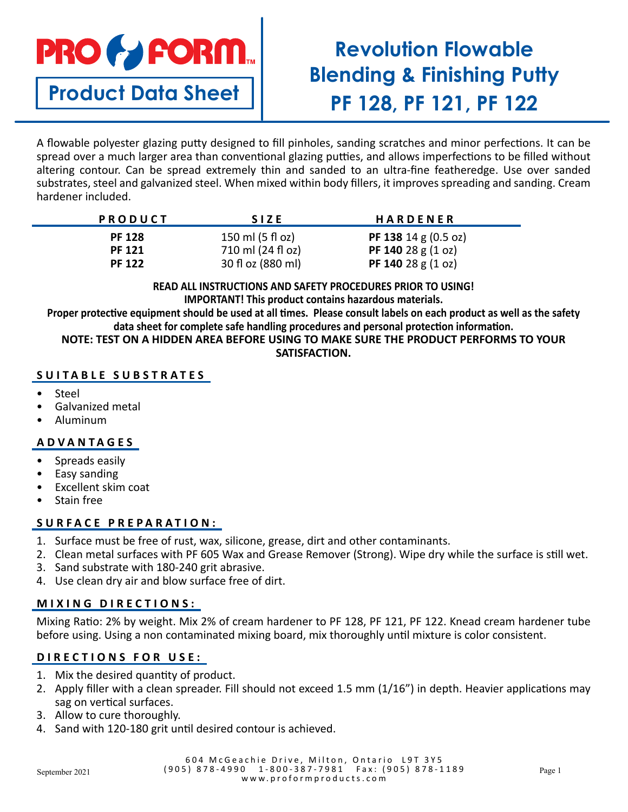

**Product Data Sheet**

# **Revolution Flowable Blending & Finishing Putty PF 128, PF 121, PF 122**

A flowable polyester glazing putty designed to fill pinholes, sanding scratches and minor perfections. It can be spread over a much larger area than conventional glazing putties, and allows imperfections to be filled without altering contour. Can be spread extremely thin and sanded to an ultra-fine featheredge. Use over sanded substrates, steel and galvanized steel. When mixed within body fillers, it improves spreading and sanding. Cream hardener included.

| <b>PRODUCT</b> | <b>SIZE</b>       | <b>HARDENER</b>                |
|----------------|-------------------|--------------------------------|
| <b>PF 128</b>  | 150 ml (5 fl oz)  | PF 138 14 g $(0.5 \text{ oz})$ |
| <b>PF 121</b>  | 710 ml (24 fl oz) | PF 140 28 $g(1 oz)$            |
| <b>PF 122</b>  | 30 fl oz (880 ml) | PF 140 28 $g(1 oz)$            |

**READ ALL INSTRUCTIONS AND SAFETY PROCEDURES PRIOR TO USING!**

**IMPORTANT! This product contains hazardous materials.**

**Proper protective equipment should be used at all times. Please consult labels on each product as well as the safety data sheet for complete safe handling procedures and personal protection information.**

**NOTE: TEST ON A HIDDEN AREA BEFORE USING TO MAKE SURE THE PRODUCT PERFORMS TO YOUR SATISFACTION.**

### **SUITABLE SUBSTRATES**

- Steel
- Galvanized metal
- Aluminum

## **ADVANTAGES**

- Spreads easily
- Easy sanding
- Excellent skim coat
- Stain free

#### **SURFACE PREPARATION:**

- 1. Surface must be free of rust, wax, silicone, grease, dirt and other contaminants.
- 2. Clean metal surfaces with PF 605 Wax and Grease Remover (Strong). Wipe dry while the surface is still wet.
- 3. Sand substrate with 180-240 grit abrasive.
- 4. Use clean dry air and blow surface free of dirt.

#### **MIXING DIRECTIONS:**

Mixing Ratio: 2% by weight. Mix 2% of cream hardener to PF 128, PF 121, PF 122. Knead cream hardener tube before using. Using a non contaminated mixing board, mix thoroughly until mixture is color consistent.

## **DIRECTIONS FOR USE:**

- 1. Mix the desired quantity of product.
- 2. Apply filler with a clean spreader. Fill should not exceed 1.5 mm (1/16") in depth. Heavier applications may sag on vertical surfaces.
- 3. Allow to cure thoroughly.
- 4. Sand with 120-180 grit until desired contour is achieved.